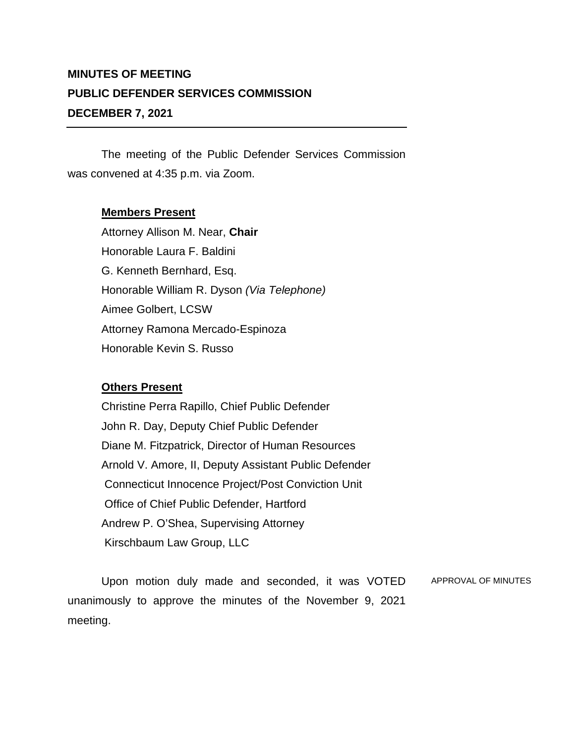## **MINUTES OF MEETING PUBLIC DEFENDER SERVICES COMMISSION DECEMBER 7, 2021**

The meeting of the Public Defender Services Commission was convened at 4:35 p.m. via Zoom.

## **Members Present**

Attorney Allison M. Near, **Chair** Honorable Laura F. Baldini G. Kenneth Bernhard, Esq. Honorable William R. Dyson *(Via Telephone)* Aimee Golbert, LCSW Attorney Ramona Mercado-Espinoza Honorable Kevin S. Russo

## **Others Present**

Christine Perra Rapillo, Chief Public Defender John R. Day, Deputy Chief Public Defender Diane M. Fitzpatrick, Director of Human Resources Arnold V. Amore, II, Deputy Assistant Public Defender Connecticut Innocence Project/Post Conviction Unit Office of Chief Public Defender, Hartford Andrew P. O'Shea, Supervising Attorney Kirschbaum Law Group, LLC

Upon motion duly made and seconded, it was VOTED unanimously to approve the minutes of the November 9, 2021 meeting. APPROVAL OF MINUTES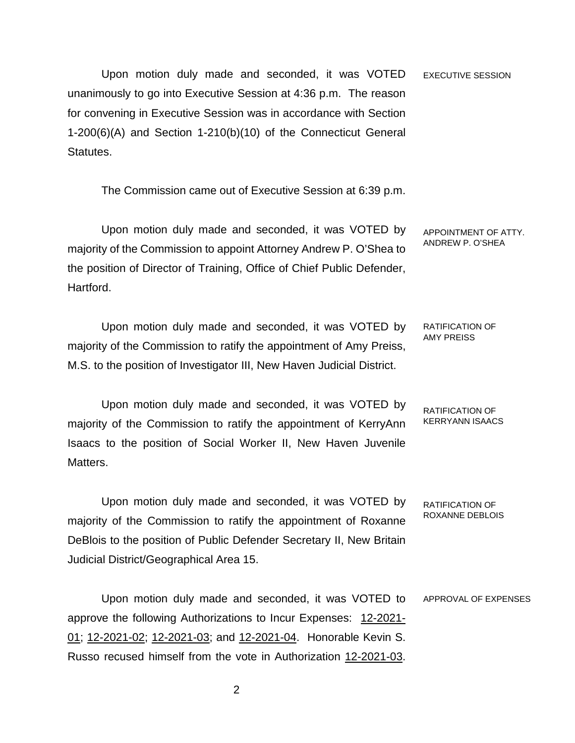Upon motion duly made and seconded, it was VOTED unanimously to go into Executive Session at 4:36 p.m. The reason for convening in Executive Session was in accordance with Section 1-200(6)(A) and Section 1-210(b)(10) of the Connecticut General Statutes. EXECUTIVE SESSION

The Commission came out of Executive Session at 6:39 p.m.

Upon motion duly made and seconded, it was VOTED by majority of the Commission to appoint Attorney Andrew P. O'Shea to the position of Director of Training, Office of Chief Public Defender, Hartford. APPOINTMENT OF ATTY. ANDREW P. O'SHEA

Upon motion duly made and seconded, it was VOTED by majority of the Commission to ratify the appointment of Amy Preiss, M.S. to the position of Investigator III, New Haven Judicial District.

RATIFICATION OF AMY PREISS

Upon motion duly made and seconded, it was VOTED by majority of the Commission to ratify the appointment of KerryAnn Isaacs to the position of Social Worker II, New Haven Juvenile Matters. RATIFICATION OF KERRYANN ISAACS

Upon motion duly made and seconded, it was VOTED by majority of the Commission to ratify the appointment of Roxanne DeBlois to the position of Public Defender Secretary II, New Britain Judicial District/Geographical Area 15. RATIFICATION OF ROXANNE DEBLOIS

Upon motion duly made and seconded, it was VOTED to approve the following Authorizations to Incur Expenses: 12-2021- 01; 12-2021-02; 12-2021-03; and 12-2021-04. Honorable Kevin S. Russo recused himself from the vote in Authorization 12-2021-03. APPROVAL OF EXPENSES

2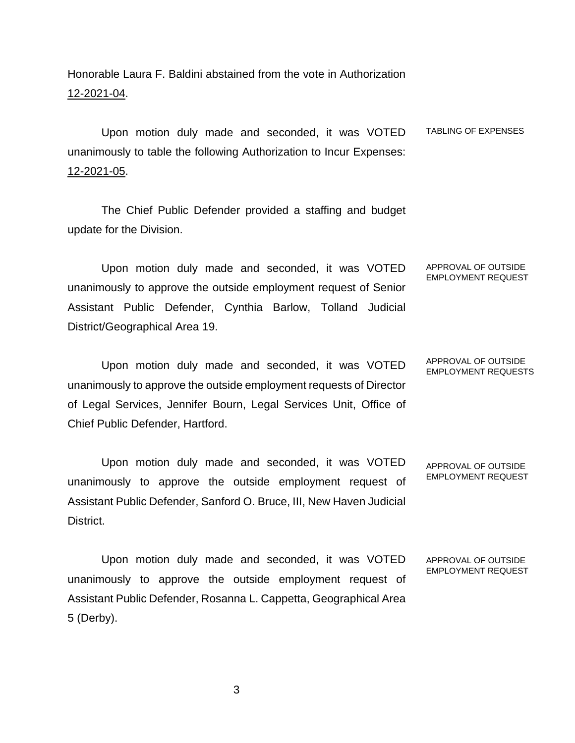Honorable Laura F. Baldini abstained from the vote in Authorization 12-2021-04.

Upon motion duly made and seconded, it was VOTED unanimously to table the following Authorization to Incur Expenses: 12-2021-05. TABLING OF EXPENSES

The Chief Public Defender provided a staffing and budget update for the Division.

Upon motion duly made and seconded, it was VOTED unanimously to approve the outside employment request of Senior Assistant Public Defender, Cynthia Barlow, Tolland Judicial District/Geographical Area 19. APPROVAL OF OUTSIDE EMPLOYMENT REQUEST

Upon motion duly made and seconded, it was VOTED unanimously to approve the outside employment requests of Director of Legal Services, Jennifer Bourn, Legal Services Unit, Office of Chief Public Defender, Hartford.

Upon motion duly made and seconded, it was VOTED unanimously to approve the outside employment request of Assistant Public Defender, Sanford O. Bruce, III, New Haven Judicial District.

Upon motion duly made and seconded, it was VOTED unanimously to approve the outside employment request of Assistant Public Defender, Rosanna L. Cappetta, Geographical Area 5 (Derby).

APPROVAL OF OUTSIDE

EMPLOYMENT REQUEST

APPROVAL OF OUTSIDE EMPLOYMENT REQUESTS

APPROVAL OF OUTSIDE EMPLOYMENT REQUEST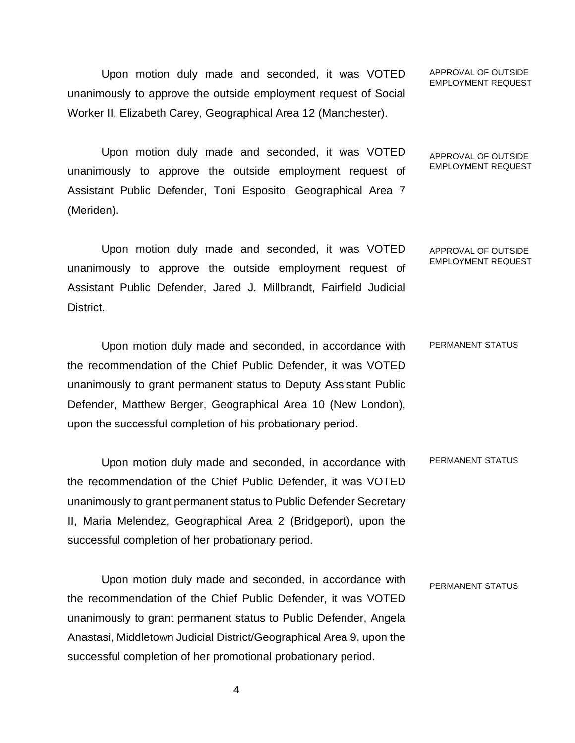Upon motion duly made and seconded, it was VOTED unanimously to approve the outside employment request of Social Worker II, Elizabeth Carey, Geographical Area 12 (Manchester).

Upon motion duly made and seconded, it was VOTED unanimously to approve the outside employment request of Assistant Public Defender, Toni Esposito, Geographical Area 7 (Meriden).

Upon motion duly made and seconded, it was VOTED unanimously to approve the outside employment request of Assistant Public Defender, Jared J. Millbrandt, Fairfield Judicial District. APPROVAL OF OUTSIDE EMPLOYMENT REQUEST

Upon motion duly made and seconded, in accordance with the recommendation of the Chief Public Defender, it was VOTED unanimously to grant permanent status to Deputy Assistant Public Defender, Matthew Berger, Geographical Area 10 (New London), upon the successful completion of his probationary period. PERMANENT STATUS

Upon motion duly made and seconded, in accordance with the recommendation of the Chief Public Defender, it was VOTED unanimously to grant permanent status to Public Defender Secretary II, Maria Melendez, Geographical Area 2 (Bridgeport), upon the successful completion of her probationary period. PERMANENT STATUS

Upon motion duly made and seconded, in accordance with the recommendation of the Chief Public Defender, it was VOTED unanimously to grant permanent status to Public Defender, Angela Anastasi, Middletown Judicial District/Geographical Area 9, upon the successful completion of her promotional probationary period. PERMANENT STATUS

APPROVAL OF OUTSIDE EMPLOYMENT REQUEST

APPROVAL OF OUTSIDE EMPLOYMENT REQUEST